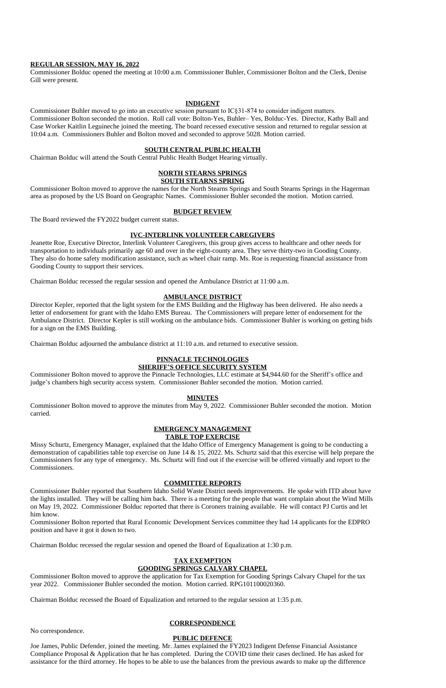### **REGULAR SESSION, MAY 16, 2022**

Commissioner Bolduc opened the meeting at 10:00 a.m. Commissioner Buhler, Commissioner Bolton and the Clerk, Denise Gill were present.

### **INDIGENT**

Commissioner Buhler moved to go into an executive session pursuant to IC§31-874 to consider indigent matters. Commissioner Bolton seconded the motion. Roll call vote: Bolton-Yes, Buhler– Yes, Bolduc-Yes. Director, Kathy Ball and Case Worker Kaitlin Leguineche joined the meeting. The board recessed executive session and returned to regular session at 10:04 a.m. Commissioners Buhler and Bolton moved and seconded to approve 5028. Motion carried.

### **SOUTH CENTRAL PUBLIC HEALTH**

Chairman Bolduc will attend the South Central Public Health Budget Hearing virtually.

## **NORTH STEARNS SPRINGS SOUTH STEARNS SPRING**

Commissioner Bolton moved to approve the names for the North Stearns Springs and South Stearns Springs in the Hagerman area as proposed by the US Board on Geographic Names. Commissioner Buhler seconded the motion. Motion carried.

### **BUDGET REVIEW**

The Board reviewed the FY2022 budget current status.

### **IVC-INTERLINK VOLUNTEER CAREGIVERS**

Jeanette Roe, Executive Director, Interlink Volunteer Caregivers, this group gives access to healthcare and other needs for transportation to individuals primarily age 60 and over in the eight-county area. They serve thirty-two in Gooding County. They also do home safety modification assistance, such as wheel chair ramp. Ms. Roe is requesting financial assistance from Gooding County to support their services.

Chairman Bolduc recessed the regular session and opened the Ambulance District at 11:00 a.m.

# **AMBULANCE DISTRICT**

Director Kepler, reported that the light system for the EMS Building and the Highway has been delivered. He also needs a letter of endorsement for grant with the Idaho EMS Bureau. The Commissioners will prepare letter of endorsement for the Ambulance District. Director Kepler is still working on the ambulance bids. Commissioner Buhler is working on getting bids for a sign on the EMS Building.

Chairman Bolduc adjourned the ambulance district at 11:10 a.m. and returned to executive session.

# **PINNACLE TECHNOLOGIES**

# **SHERIFF'S OFFICE SECURITY SYSTEM**

Commissioner Bolton moved to approve the Pinnacle Technologies, LLC estimate at \$4,944.60 for the Sheriff's office and judge's chambers high security access system. Commissioner Buhler seconded the motion. Motion carried.

#### **MINUTES**

Commissioner Bolton moved to approve the minutes from May 9, 2022. Commissioner Buhler seconded the motion. Motion carried.

# **EMERGENCY MANAGEMENT TABLE TOP EXERCISE**

Missy Schurtz, Emergency Manager, explained that the Idaho Office of Emergency Management is going to be conducting a demonstration of capabilities table top exercise on June 14 & 15, 2022. Ms. Schurtz said that this exercise will help prepare the Commissioners for any type of emergency. Ms. Schurtz will find out if the exercise will be offered virtually and report to the Commissioners.

#### **COMMITTEE REPORTS**

Commissioner Buhler reported that Southern Idaho Solid Waste District needs improvements. He spoke with ITD about have the lights installed. They will be calling him back. There is a meeting for the people that want complain about the Wind Mills on May 19, 2022. Commissioner Bolduc reported that there is Coroners training available. He will contact PJ Curtis and let him know.

Commissioner Bolton reported that Rural Economic Development Services committee they had 14 applicants for the EDPRO position and have it got it down to two.

Chairman Bolduc recessed the regular session and opened the Board of Equalization at 1:30 p.m.

# **TAX EXEMPTION GOODING SPRINGS CALVARY CHAPEL**

Commissioner Bolton moved to approve the application for Tax Exemption for Gooding Springs Calvary Chapel for the tax year 2022. Commissioner Buhler seconded the motion. Motion carried. RPG101100020360.

Chairman Bolduc recessed the Board of Equalization and returned to the regular session at 1:35 p.m.

# **CORRESPONDENCE**

No correspondence.

# **PUBLIC DEFENCE**

Joe James, Public Defender, joined the meeting. Mr. James explained the FY2023 Indigent Defense Financial Assistance Compliance Proposal & Application that he has completed. During the COVID time their cases declined. He has asked for assistance for the third attorney. He hopes to be able to use the balances from the previous awards to make up the difference